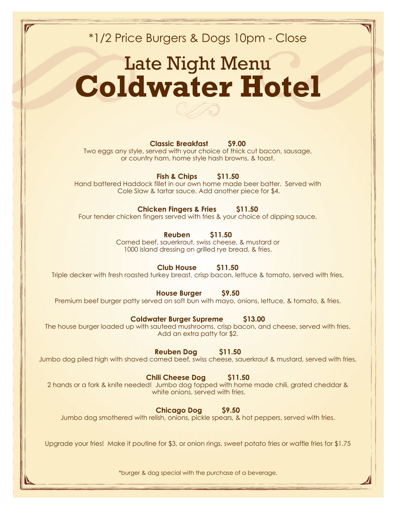\*1/2 Price Burgers & Dogs 10pm - Close

# Late Night Menu **Coldwater Hotel**



Two eggs any style, served with your choice of thick cut bacon, sausage, or country ham, home style hash browns, & toast.

**Fish & Chips \$11.50**

Hand battered Haddock fillet in our own home made beer batter. Served with Cole Slaw & tartar sauce. Add another piece for \$4.

### **Chicken Fingers & Fries \$11.50**

Four tender chicken fingers served with fries & your choice of dipping sauce.

### **Reuben \$11.50**

Corned beef, sauerkraut, swiss cheese, & mustard or 1000 island dressing on grilled rye bread, & fries.

### **Club House \$11.50**

Triple decker with fresh roasted turkey breast, crisp bacon, lettuce & tomato, served with fries.

**House Burger \$9.50**

Premium beef burger patty served on soft bun with mayo, onions, lettuce, & tomato, & fries.

### **Coldwater Burger Supreme \$13.00**

The house burger loaded up with sauteed mushrooms, crisp bacon, and cheese, served with fries. Add an extra patty for \$2.

**Reuben Dog \$11.50**

Jumbo dog piled high with shaved corned beef, swiss cheese, sauerkraut & mustard, served with fries.

**Chili Cheese Dog \$11.50**

2 hands or a fork & knife needed! Jumbo dog topped with home made chili, grated cheddar & white onions, served with fries.

**Chicago Dog \$9.50**

Jumbo dog smothered with relish, onions, pickle spears, & hot peppers, served with fries.

Upgrade your fries! Make it poutine for \$3, or onion rings, sweet potato fries or waffle fries for \$1.75

\*burger & dog special with the purchase of a beverage.